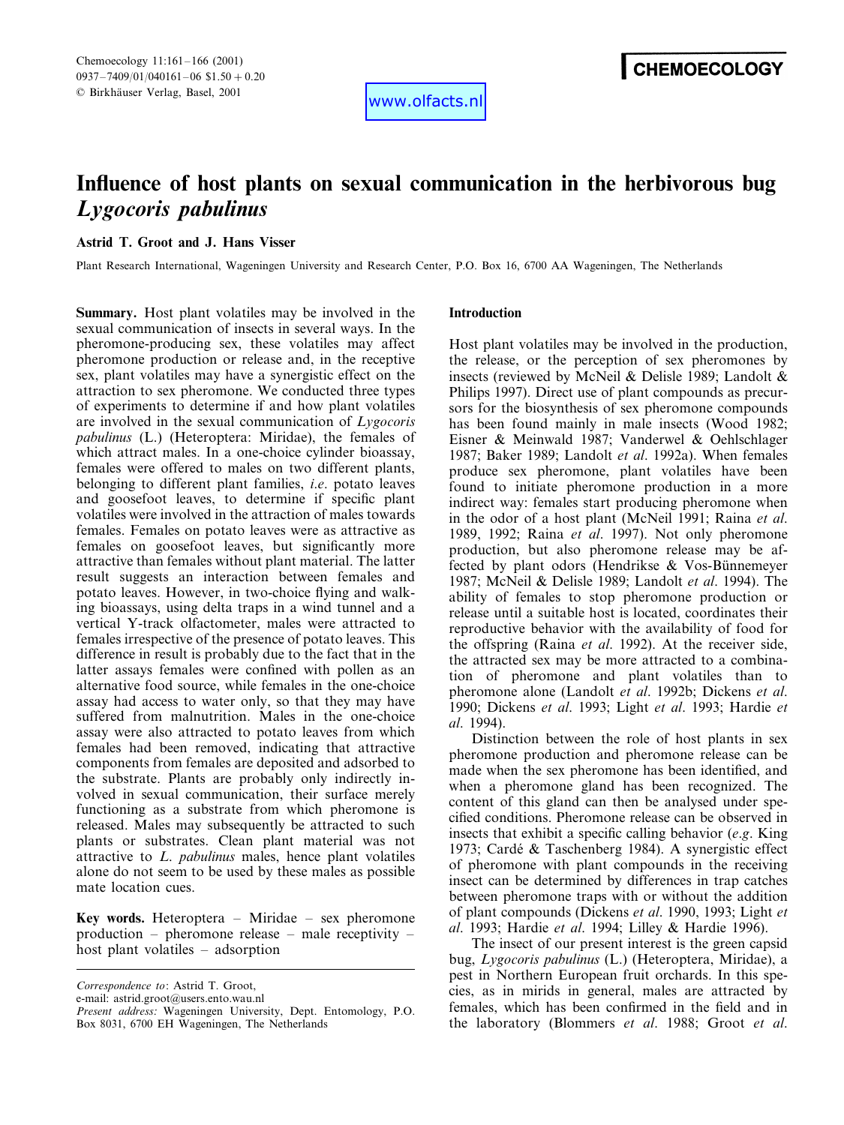www.olfacts.nl

# **Influence of host plants on sexual communication in the herbivorous bug** *Lygocoris pabulinus*

# **Astrid T. Groot and J. Hans Visser**

Plant Research International, Wageningen University and Research Center, P.O. Box 16, 6700 AA Wageningen, The Netherlands

**Summary.** Host plant volatiles may be involved in the sexual communication of insects in several ways. In the pheromone-producing sex, these volatiles may affect pheromone production or release and, in the receptive sex, plant volatiles may have a synergistic effect on the attraction to sex pheromone. We conducted three types of experiments to determine if and how plant volatiles are involved in the sexual communication of *Lygocoris pabulinus* (L.) (Heteroptera: Miridae), the females of which attract males. In a one-choice cylinder bioassay, females were offered to males on two different plants, belonging to different plant families, *i*.*e*. potato leaves and goosefoot leaves, to determine if specific plant volatiles were involved in the attraction of males towards females. Females on potato leaves were as attractive as females on goosefoot leaves, but significantly more attractive than females without plant material. The latter result suggests an interaction between females and potato leaves. However, in two-choice flying and walking bioassays, using delta traps in a wind tunnel and a vertical Y-track olfactometer, males were attracted to females irrespective of the presence of potato leaves. This difference in result is probably due to the fact that in the latter assays females were confined with pollen as an alternative food source, while females in the one-choice assay had access to water only, so that they may have suffered from malnutrition. Males in the one-choice assay were also attracted to potato leaves from which females had been removed, indicating that attractive components from females are deposited and adsorbed to the substrate. Plants are probably only indirectly involved in sexual communication, their surface merely functioning as a substrate from which pheromone is released. Males may subsequently be attracted to such plants or substrates. Clean plant material was not attractive to *L*. *pabulinus* males, hence plant volatiles alone do not seem to be used by these males as possible mate location cues.

**Key words.** Heteroptera – Miridae – sex pheromone production – pheromone release – male receptivity – host plant volatiles – adsorption

*Correspondence to*: Astrid T. Groot,

e-mail: astrid.groot@users.ento.wau.nl

## **Introduction**

Host plant volatiles may be involved in the production, the release, or the perception of sex pheromones by insects (reviewed by McNeil & Delisle 1989; Landolt & Philips 1997). Direct use of plant compounds as precursors for the biosynthesis of sex pheromone compounds has been found mainly in male insects (Wood 1982; Eisner & Meinwald 1987; Vanderwel & Oehlschlager 1987; Baker 1989; Landolt *et al*. 1992a). When females produce sex pheromone, plant volatiles have been found to initiate pheromone production in a more indirect way: females start producing pheromone when in the odor of a host plant (McNeil 1991; Raina *et al*. 1989, 1992; Raina *et al*. 1997). Not only pheromone production, but also pheromone release may be affected by plant odors (Hendrikse  $& V$ os-Bünnemeyer 1987; McNeil & Delisle 1989; Landolt *et al*. 1994). The ability of females to stop pheromone production or release until a suitable host is located, coordinates their reproductive behavior with the availability of food for the offspring (Raina *et al*. 1992). At the receiver side, the attracted sex may be more attracted to a combination of pheromone and plant volatiles than to pheromone alone (Landolt *et al*. 1992b; Dickens *et al*. 1990; Dickens *et al*. 1993; Light *et al*. 1993; Hardie *et al*. 1994).

Distinction between the role of host plants in sex pheromone production and pheromone release can be made when the sex pheromone has been identified, and when a pheromone gland has been recognized. The content of this gland can then be analysed under specified conditions. Pheromone release can be observed in insects that exhibit a specific calling behavior (*e*.*g*. King 1973; Cardé & Taschenberg 1984). A synergistic effect of pheromone with plant compounds in the receiving insect can be determined by differences in trap catches between pheromone traps with or without the addition of plant compounds (Dickens *et al*. 1990, 1993; Light *et al*. 1993; Hardie *et al*. 1994; Lilley & Hardie 1996).

The insect of our present interest is the green capsid bug, *Lygocoris pabulinus* (L.) (Heteroptera, Miridae), a pest in Northern European fruit orchards. In this species, as in mirids in general, males are attracted by females, which has been confirmed in the field and in the laboratory (Blommers *et al*. 1988; Groot *et al*.

*Present address*: Wageningen University, Dept. Entomology, P.O. Box 8031, 6700 EH Wageningen, The Netherlands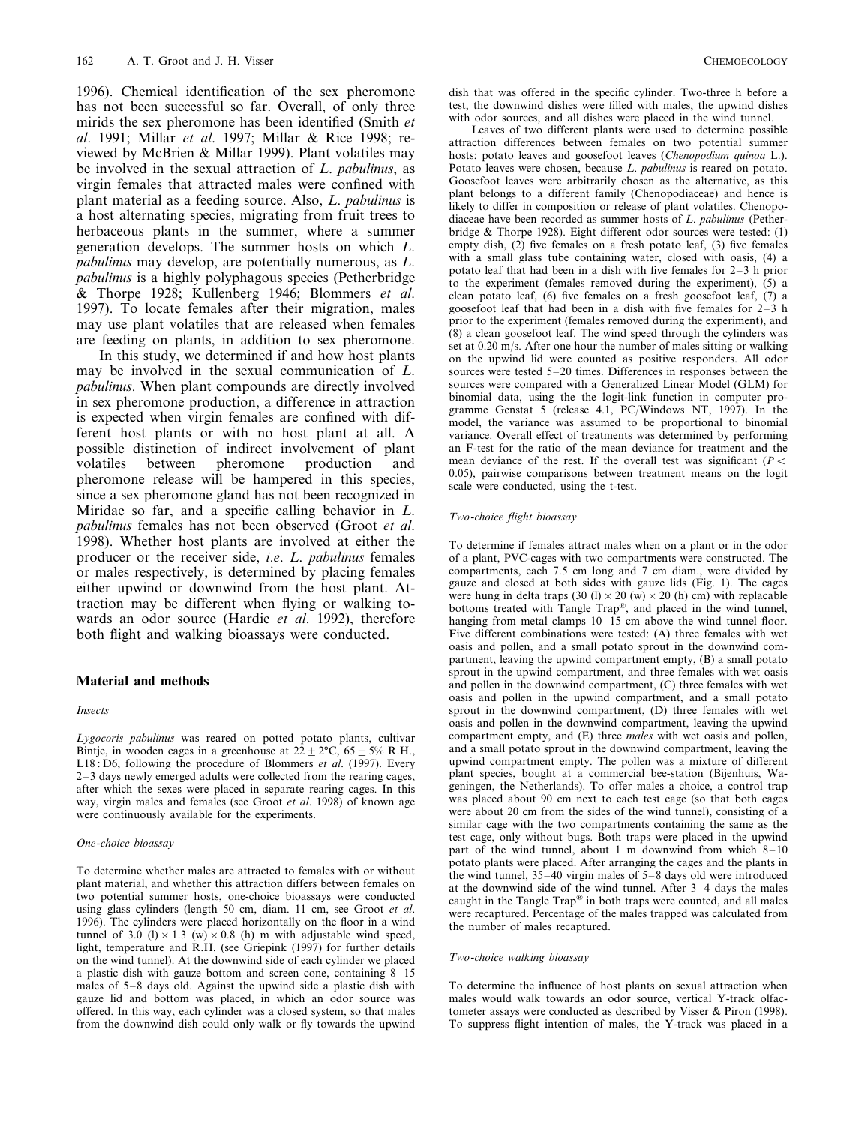1996). Chemical identification of the sex pheromone has not been successful so far. Overall, of only three mirids the sex pheromone has been identified (Smith *et al*. 1991; Millar *et al*. 1997; Millar & Rice 1998; reviewed by McBrien & Millar 1999). Plant volatiles may be involved in the sexual attraction of *L*. *pabulinus*, as virgin females that attracted males were confined with plant material as a feeding source. Also, *L*. *pabulinus* is a host alternating species, migrating from fruit trees to herbaceous plants in the summer, where a summer generation develops. The summer hosts on which *L*. *pabulinus* may develop, are potentially numerous, as *L*. *pabulinus* is a highly polyphagous species (Petherbridge & Thorpe 1928; Kullenberg 1946; Blommers *et al*. 1997). To locate females after their migration, males may use plant volatiles that are released when females are feeding on plants, in addition to sex pheromone.

In this study, we determined if and how host plants may be involved in the sexual communication of *L*. *pabulinus*. When plant compounds are directly involved in sex pheromone production, a difference in attraction is expected when virgin females are confined with different host plants or with no host plant at all. A possible distinction of indirect involvement of plant volatiles between pheromone production and pheromone release will be hampered in this species, since a sex pheromone gland has not been recognized in Miridae so far, and a specific calling behavior in *L*. *pabulinus* females has not been observed (Groot *et al*. 1998). Whether host plants are involved at either the producer or the receiver side, *i*.*e*. *L*. *pabulinus* females or males respectively, is determined by placing females either upwind or downwind from the host plant. Attraction may be different when flying or walking towards an odor source (Hardie *et al*. 1992), therefore both flight and walking bioassays were conducted.

## **Material and methods**

#### *Insects*

*Lygocoris pabulinus* was reared on potted potato plants, cultivar Bintie, in wooden cages in a greenhouse at  $22 \pm 2^{\circ}$ C,  $65 \pm 5\%$  R.H., L18 : D6, following the procedure of Blommers *et al*. (1997). Every 2–3 days newly emerged adults were collected from the rearing cages, after which the sexes were placed in separate rearing cages. In this way, virgin males and females (see Groot *et al*. 1998) of known age were continuously available for the experiments.

#### *One*-*choice bioassay*

To determine whether males are attracted to females with or without plant material, and whether this attraction differs between females on two potential summer hosts, one-choice bioassays were conducted using glass cylinders (length 50 cm, diam. 11 cm, see Groot *et al*. 1996). The cylinders were placed horizontally on the floor in a wind tunnel of 3.0 (l)  $\times$  1.3 (w)  $\times$  0.8 (h) m with adjustable wind speed, light, temperature and R.H. (see Griepink (1997) for further details on the wind tunnel). At the downwind side of each cylinder we placed a plastic dish with gauze bottom and screen cone, containing 8–15 males of 5–8 days old. Against the upwind side a plastic dish with gauze lid and bottom was placed, in which an odor source was offered. In this way, each cylinder was a closed system, so that males from the downwind dish could only walk or fly towards the upwind dish that was offered in the specific cylinder. Two-three h before a test, the downwind dishes were filled with males, the upwind dishes with odor sources, and all dishes were placed in the wind tunnel.

Leaves of two different plants were used to determine possible attraction differences between females on two potential summer hosts: potato leaves and goosefoot leaves (*Chenopodium quinoa* L.). Potato leaves were chosen, because *L*. *pabulinus* is reared on potato. Goosefoot leaves were arbitrarily chosen as the alternative, as this plant belongs to a different family (Chenopodiaceae) and hence is likely to differ in composition or release of plant volatiles. Chenopodiaceae have been recorded as summer hosts of *L*. *pabulinus* (Petherbridge & Thorpe 1928). Eight different odor sources were tested: (1) empty dish, (2) five females on a fresh potato leaf, (3) five females with a small glass tube containing water, closed with oasis, (4) a potato leaf that had been in a dish with five females for 2–3 h prior to the experiment (females removed during the experiment), (5) a clean potato leaf, (6) five females on a fresh goosefoot leaf, (7) a goosefoot leaf that had been in a dish with five females for  $2-\hat{3}$  h prior to the experiment (females removed during the experiment), and (8) a clean goosefoot leaf. The wind speed through the cylinders was set at 0.20 m/s. After one hour the number of males sitting or walking on the upwind lid were counted as positive responders. All odor sources were tested 5–20 times. Differences in responses between the sources were compared with a Generalized Linear Model (GLM) for binomial data, using the the logit-link function in computer programme Genstat 5 (release 4.1, PC/Windows NT, 1997). In the model, the variance was assumed to be proportional to binomial variance. Overall effect of treatments was determined by performing an F-test for the ratio of the mean deviance for treatment and the mean deviance of the rest. If the overall test was significant ( $P$  < 0.05), pairwise comparisons between treatment means on the logit scale were conducted, using the t-test.

#### *Two*-*choice flight bioassay*

To determine if females attract males when on a plant or in the odor of a plant, PVC-cages with two compartments were constructed. The compartments, each 7.5 cm long and 7 cm diam., were divided by gauze and closed at both sides with gauze lids (Fig. 1). The cages were hung in delta traps (30 (l)  $\times$  20 (w)  $\times$  20 (h) cm) with replacable bottoms treated with Tangle Trap®, and placed in the wind tunnel, hanging from metal clamps 10–15 cm above the wind tunnel floor. Five different combinations were tested: (A) three females with wet oasis and pollen, and a small potato sprout in the downwind compartment, leaving the upwind compartment empty, (B) a small potato sprout in the upwind compartment, and three females with wet oasis and pollen in the downwind compartment, (C) three females with wet oasis and pollen in the upwind compartment, and a small potato sprout in the downwind compartment, (D) three females with wet oasis and pollen in the downwind compartment, leaving the upwind compartment empty, and (E) three *males* with wet oasis and pollen, and a small potato sprout in the downwind compartment, leaving the upwind compartment empty. The pollen was a mixture of different plant species, bought at a commercial bee-station (Bijenhuis, Wageningen, the Netherlands). To offer males a choice, a control trap was placed about 90 cm next to each test cage (so that both cages were about 20 cm from the sides of the wind tunnel), consisting of a similar cage with the two compartments containing the same as the test cage, only without bugs. Both traps were placed in the upwind part of the wind tunnel, about 1 m downwind from which 8–10 potato plants were placed. After arranging the cages and the plants in the wind tunnel,  $35-40$  virgin males of  $5-8$  days old were introduced at the downwind side of the wind tunnel. After 3–4 days the males caught in the Tangle Trap® in both traps were counted, and all males were recaptured. Percentage of the males trapped was calculated from the number of males recaptured.

#### *Two*-*choice walking bioassay*

To determine the influence of host plants on sexual attraction when males would walk towards an odor source, vertical Y-track olfactometer assays were conducted as described by Visser & Piron (1998). To suppress flight intention of males, the Y-track was placed in a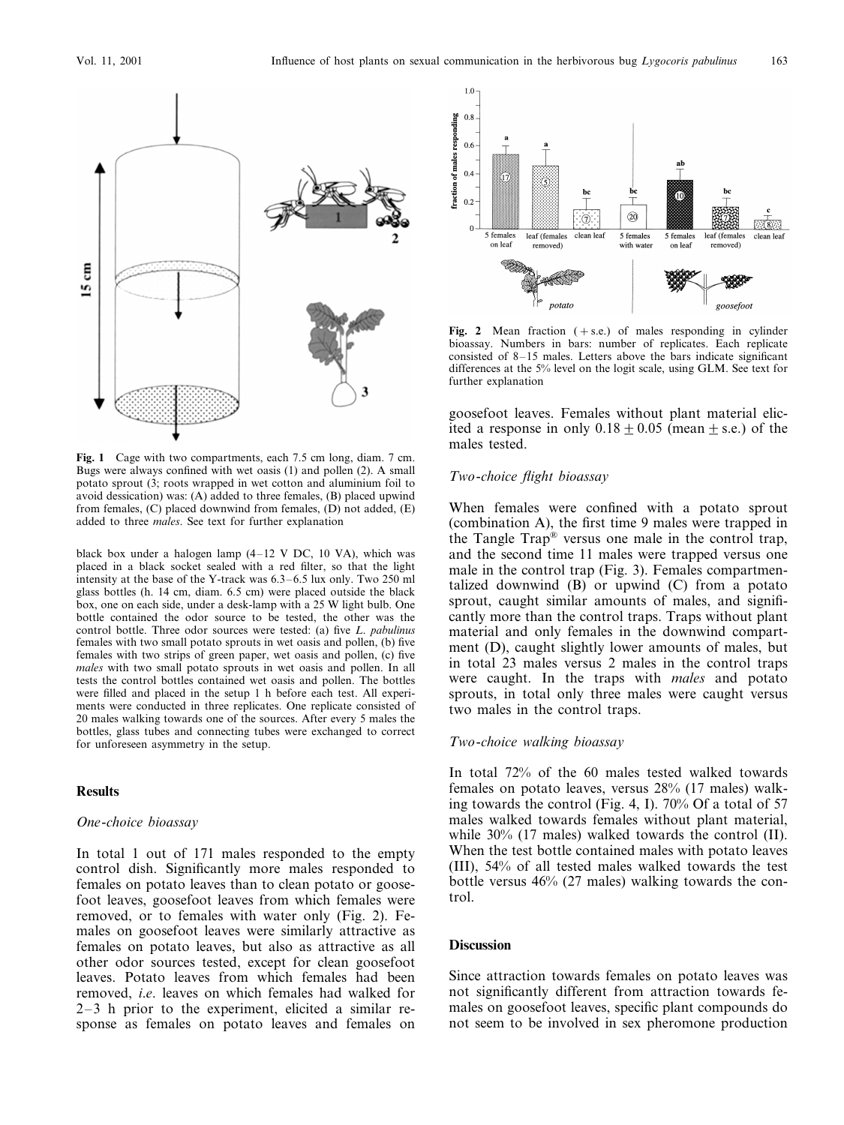

**Fig. 1** Cage with two compartments, each 7.5 cm long, diam. 7 cm. Bugs were always confined with wet oasis (1) and pollen (2). A small potato sprout (3; roots wrapped in wet cotton and aluminium foil to avoid dessication) was: (A) added to three females, (B) placed upwind from females, (C) placed downwind from females, (D) not added, (E) added to three *males*. See text for further explanation

black box under a halogen lamp (4–12 V DC, 10 VA), which was placed in a black socket sealed with a red filter, so that the light intensity at the base of the Y-track was 6.3–6.5 lux only. Two 250 ml glass bottles (h. 14 cm, diam. 6.5 cm) were placed outside the black box, one on each side, under a desk-lamp with a 25 W light bulb. One bottle contained the odor source to be tested, the other was the control bottle. Three odor sources were tested: (a) five *L*. *pabulinus* females with two small potato sprouts in wet oasis and pollen, (b) five females with two strips of green paper, wet oasis and pollen, (c) five *males* with two small potato sprouts in wet oasis and pollen. In all tests the control bottles contained wet oasis and pollen. The bottles were filled and placed in the setup 1 h before each test. All experiments were conducted in three replicates. One replicate consisted of 20 males walking towards one of the sources. After every 5 males the bottles, glass tubes and connecting tubes were exchanged to correct for unforeseen asymmetry in the setup.

## **Results**

## *One*-*choice bioassay*

In total 1 out of 171 males responded to the empty control dish. Significantly more males responded to females on potato leaves than to clean potato or goosefoot leaves, goosefoot leaves from which females were removed, or to females with water only (Fig. 2). Females on goosefoot leaves were similarly attractive as females on potato leaves, but also as attractive as all other odor sources tested, except for clean goosefoot leaves. Potato leaves from which females had been removed, *i*.*e*. leaves on which females had walked for 2–3 h prior to the experiment, elicited a similar response as females on potato leaves and females on



**Fig. 2** Mean fraction  $(+ s.e.)$  of males responding in cylinder bioassay. Numbers in bars: number of replicates. Each replicate consisted of 8–15 males. Letters above the bars indicate significant differences at the 5% level on the logit scale, using GLM. See text for further explanation

goosefoot leaves. Females without plant material elicited a response in only  $0.18 \pm 0.05$  (mean  $\pm$  s.e.) of the males tested.

## *Two*-*choice flight bioassay*

When females were confined with a potato sprout (combination A), the first time 9 males were trapped in the Tangle Trap® versus one male in the control trap, and the second time 11 males were trapped versus one male in the control trap (Fig. 3). Females compartmentalized downwind (B) or upwind (C) from a potato sprout, caught similar amounts of males, and significantly more than the control traps. Traps without plant material and only females in the downwind compartment (D), caught slightly lower amounts of males, but in total 23 males versus 2 males in the control traps were caught. In the traps with *males* and potato sprouts, in total only three males were caught versus two males in the control traps.

## *Two*-*choice walking bioassay*

In total 72% of the 60 males tested walked towards females on potato leaves, versus 28% (17 males) walking towards the control (Fig. 4, I). 70% Of a total of 57 males walked towards females without plant material, while 30% (17 males) walked towards the control (II). When the test bottle contained males with potato leaves (III), 54% of all tested males walked towards the test bottle versus 46% (27 males) walking towards the control.

## **Discussion**

Since attraction towards females on potato leaves was not significantly different from attraction towards females on goosefoot leaves, specific plant compounds do not seem to be involved in sex pheromone production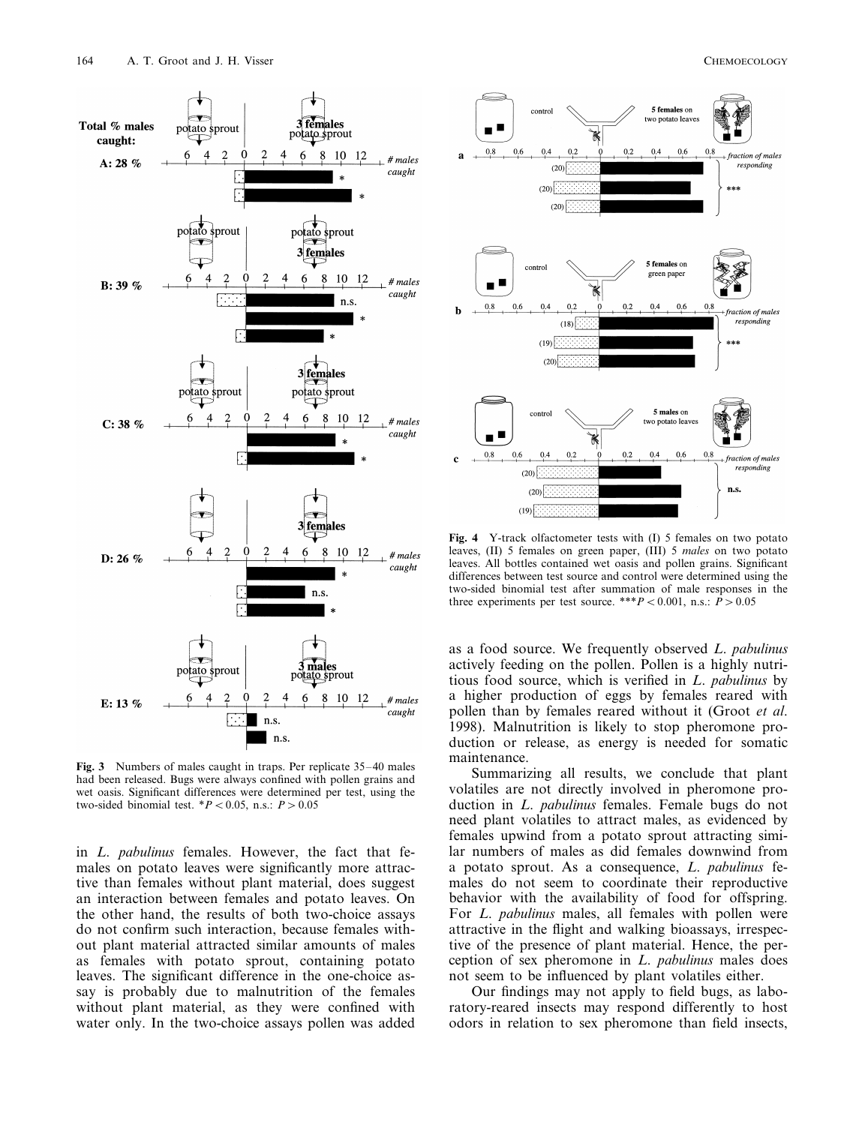

**Fig. 3** Numbers of males caught in traps. Per replicate 35–40 males had been released. Bugs were always confined with pollen grains and wet oasis. Significant differences were determined per test, using the two-sided binomial test.  $*P < 0.05$ , n.s.:  $P > 0.05$ 

in *L*. *pabulinus* females. However, the fact that females on potato leaves were significantly more attractive than females without plant material, does suggest an interaction between females and potato leaves. On the other hand, the results of both two-choice assays do not confirm such interaction, because females without plant material attracted similar amounts of males as females with potato sprout, containing potato leaves. The significant difference in the one-choice assay is probably due to malnutrition of the females without plant material, as they were confined with water only. In the two-choice assays pollen was added



**Fig. 4** Y-track olfactometer tests with (I) 5 females on two potato leaves, (II) 5 females on green paper, (III) 5 *males* on two potato leaves. All bottles contained wet oasis and pollen grains. Significant differences between test source and control were determined using the two-sided binomial test after summation of male responses in the three experiments per test source. \*\*\* $P < 0.001$ , n.s.:  $P > 0.05$ 

as a food source. We frequently observed *L*. *pabulinus* actively feeding on the pollen. Pollen is a highly nutritious food source, which is verified in *L*. *pabulinus* by a higher production of eggs by females reared with pollen than by females reared without it (Groot *et al*. 1998). Malnutrition is likely to stop pheromone production or release, as energy is needed for somatic maintenance.

Summarizing all results, we conclude that plant volatiles are not directly involved in pheromone production in *L*. *pabulinus* females. Female bugs do not need plant volatiles to attract males, as evidenced by females upwind from a potato sprout attracting similar numbers of males as did females downwind from a potato sprout. As a consequence, *L*. *pabulinus* females do not seem to coordinate their reproductive behavior with the availability of food for offspring. For *L*. *pabulinus* males, all females with pollen were attractive in the flight and walking bioassays, irrespective of the presence of plant material. Hence, the perception of sex pheromone in *L*. *pabulinus* males does not seem to be influenced by plant volatiles either.

Our findings may not apply to field bugs, as laboratory-reared insects may respond differently to host odors in relation to sex pheromone than field insects,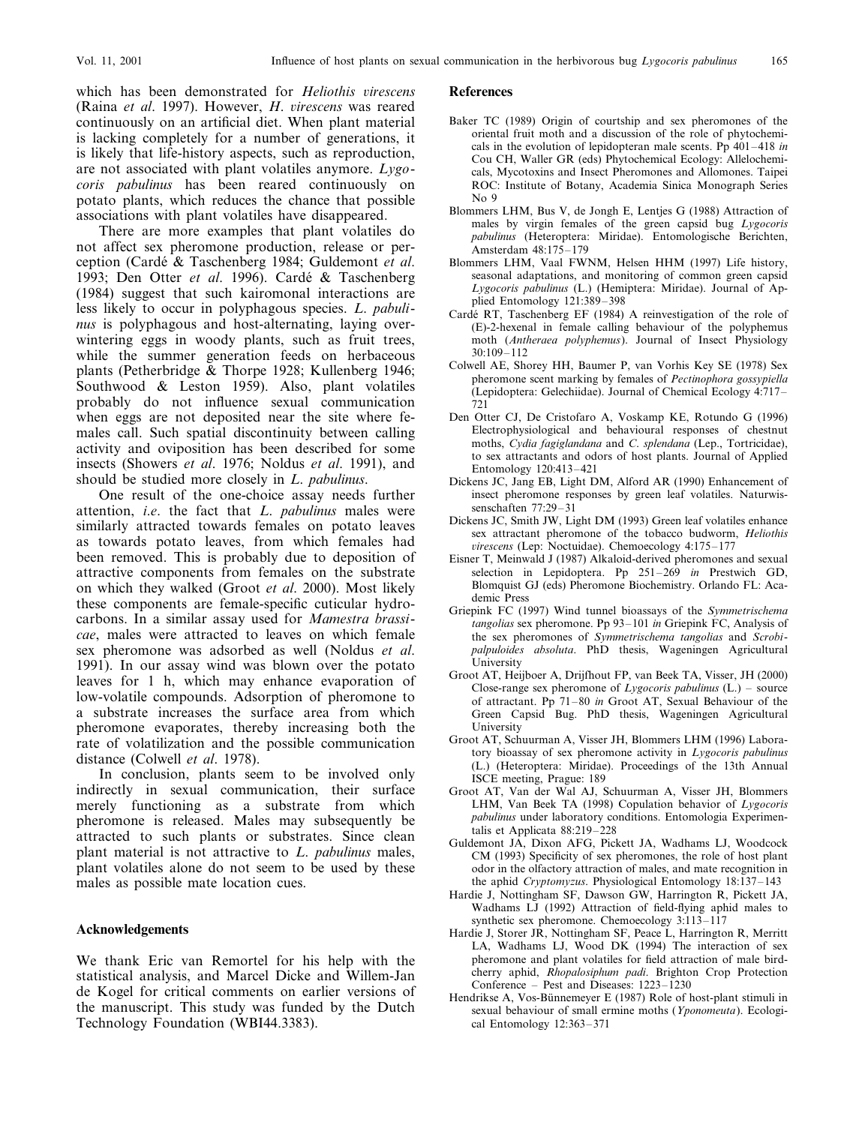which has been demonstrated for *Heliothis virescens* (Raina *et al*. 1997). However, *H*. *irescens* was reared continuously on an artificial diet. When plant material is lacking completely for a number of generations, it is likely that life-history aspects, such as reproduction, are not associated with plant volatiles anymore. *Lygocoris pabulinus* has been reared continuously on potato plants, which reduces the chance that possible associations with plant volatiles have disappeared.

There are more examples that plant volatiles do not affect sex pheromone production, release or perception (Carde´ & Taschenberg 1984; Guldemont *et al*. 1993; Den Otter et al. 1996). Cardé & Taschenberg (1984) suggest that such kairomonal interactions are less likely to occur in polyphagous species. *L*. *pabulinus* is polyphagous and host-alternating, laying overwintering eggs in woody plants, such as fruit trees, while the summer generation feeds on herbaceous plants (Petherbridge & Thorpe 1928; Kullenberg 1946; Southwood & Leston 1959). Also, plant volatiles probably do not influence sexual communication when eggs are not deposited near the site where females call. Such spatial discontinuity between calling activity and oviposition has been described for some insects (Showers *et al*. 1976; Noldus *et al*. 1991), and should be studied more closely in *L*. *pabulinus*.

One result of the one-choice assay needs further attention, *i*.*e*. the fact that *L*. *pabulinus* males were similarly attracted towards females on potato leaves as towards potato leaves, from which females had been removed. This is probably due to deposition of attractive components from females on the substrate on which they walked (Groot *et al*. 2000). Most likely these components are female-specific cuticular hydrocarbons. In a similar assay used for *Mamestra brassicae*, males were attracted to leaves on which female sex pheromone was adsorbed as well (Noldus *et al*. 1991). In our assay wind was blown over the potato leaves for 1 h, which may enhance evaporation of low-volatile compounds. Adsorption of pheromone to a substrate increases the surface area from which pheromone evaporates, thereby increasing both the rate of volatilization and the possible communication distance (Colwell *et al*. 1978).

In conclusion, plants seem to be involved only indirectly in sexual communication, their surface merely functioning as a substrate from which pheromone is released. Males may subsequently be attracted to such plants or substrates. Since clean plant material is not attractive to *L*. *pabulinus* males, plant volatiles alone do not seem to be used by these males as possible mate location cues.

#### **Acknowledgements**

We thank Eric van Remortel for his help with the statistical analysis, and Marcel Dicke and Willem-Jan de Kogel for critical comments on earlier versions of the manuscript. This study was funded by the Dutch Technology Foundation (WBI44.3383).

#### **References**

- Baker TC (1989) Origin of courtship and sex pheromones of the oriental fruit moth and a discussion of the role of phytochemicals in the evolution of lepidopteran male scents. Pp 401–418 *in* Cou CH, Waller GR (eds) Phytochemical Ecology: Allelochemicals, Mycotoxins and Insect Pheromones and Allomones. Taipei ROC: Institute of Botany, Academia Sinica Monograph Series No 9
- Blommers LHM, Bus V, de Jongh E, Lentjes G (1988) Attraction of males by virgin females of the green capsid bug *Lygocoris pabulinus* (Heteroptera: Miridae). Entomologische Berichten, Amsterdam 48:175–179
- Blommers LHM, Vaal FWNM, Helsen HHM (1997) Life history, seasonal adaptations, and monitoring of common green capsid *Lygocoris pabulinus* (L.) (Hemiptera: Miridae). Journal of Applied Entomology 121:389–398
- Cardé RT, Taschenberg EF (1984) A reinvestigation of the role of (E)-2-hexenal in female calling behaviour of the polyphemus moth (*Antheraea polyphemus*). Journal of Insect Physiology 30:109–112
- Colwell AE, Shorey HH, Baumer P, van Vorhis Key SE (1978) Sex pheromone scent marking by females of *Pectinophora gossypiella* (Lepidoptera: Gelechiidae). Journal of Chemical Ecology 4:717– 721
- Den Otter CJ, De Cristofaro A, Voskamp KE, Rotundo G (1996) Electrophysiological and behavioural responses of chestnut moths, *Cydia fagiglandana* and *C*. *splendana* (Lep., Tortricidae), to sex attractants and odors of host plants. Journal of Applied Entomology 120:413–421
- Dickens JC, Jang EB, Light DM, Alford AR (1990) Enhancement of insect pheromone responses by green leaf volatiles. Naturwissenschaften 77:29–31
- Dickens JC, Smith JW, Light DM (1993) Green leaf volatiles enhance sex attractant pheromone of the tobacco budworm, *Heliothis irescens* (Lep: Noctuidae). Chemoecology 4:175–177
- Eisner T, Meinwald J (1987) Alkaloid-derived pheromones and sexual selection in Lepidoptera. Pp 251–269 *in* Prestwich GD, Blomquist GJ (eds) Pheromone Biochemistry. Orlando FL: Academic Press
- Griepink FC (1997) Wind tunnel bioassays of the *Symmetrischema tangolias* sex pheromone. Pp 93–101 *in* Griepink FC, Analysis of the sex pheromones of *Symmetrischema tangolias* and *Scrobipalpuloides absoluta*. PhD thesis, Wageningen Agricultural University
- Groot AT, Heijboer A, Drijfhout FP, van Beek TA, Visser, JH (2000) Close-range sex pheromone of *Lygocoris pabulinus* (L.) – source of attractant. Pp 71–80 *in* Groot AT, Sexual Behaviour of the Green Capsid Bug. PhD thesis, Wageningen Agricultural University
- Groot AT, Schuurman A, Visser JH, Blommers LHM (1996) Laboratory bioassay of sex pheromone activity in *Lygocoris pabulinus* (L.) (Heteroptera: Miridae). Proceedings of the 13th Annual ISCE meeting, Prague: 189
- Groot AT, Van der Wal AJ, Schuurman A, Visser JH, Blommers LHM, Van Beek TA (1998) Copulation behavior of *Lygocoris pabulinus* under laboratory conditions. Entomologia Experimentalis et Applicata 88:219–228
- Guldemont JA, Dixon AFG, Pickett JA, Wadhams LJ, Woodcock CM (1993) Specificity of sex pheromones, the role of host plant odor in the olfactory attraction of males, and mate recognition in the aphid *Cryptomyzus*. Physiological Entomology 18:137–143
- Hardie J, Nottingham SF, Dawson GW, Harrington R, Pickett JA, Wadhams LJ (1992) Attraction of field-flying aphid males to synthetic sex pheromone. Chemoecology 3:113–117
- Hardie J, Storer JR, Nottingham SF, Peace L, Harrington R, Merritt LA, Wadhams LJ, Wood DK (1994) The interaction of sex pheromone and plant volatiles for field attraction of male birdcherry aphid, *Rhopalosiphum padi*. Brighton Crop Protection Conference – Pest and Diseases: 1223–1230
- Hendrikse A, Vos-Bünnemeyer E (1987) Role of host-plant stimuli in sexual behaviour of small ermine moths (*Yponomeuta*). Ecological Entomology 12:363–371